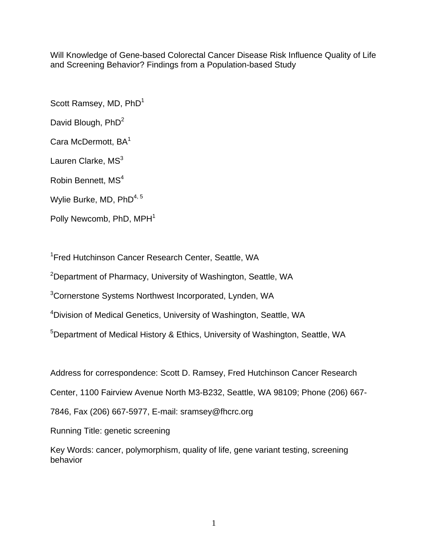Will Knowledge of Gene-based Colorectal Cancer Disease Risk Influence Quality of Life and Screening Behavior? Findings from a Population-based Study

Scott Ramsey, MD, PhD<sup>1</sup>

David Blough, PhD<sup>2</sup>

Cara McDermott, BA<sup>1</sup>

Lauren Clarke,  $MS<sup>3</sup>$ 

Robin Bennett, MS<sup>4</sup>

Wylie Burke, MD, PhD<sup>4, 5</sup>

Polly Newcomb, PhD, MPH<sup>1</sup>

<sup>1</sup> Fred Hutchinson Cancer Research Center, Seattle, WA

<sup>2</sup>Department of Pharmacy, University of Washington, Seattle, WA

<sup>3</sup>Cornerstone Systems Northwest Incorporated, Lynden, WA

<sup>4</sup>Division of Medical Genetics, University of Washington, Seattle, WA

<sup>5</sup>Department of Medical History & Ethics, University of Washington, Seattle, WA

Address for correspondence: Scott D. Ramsey, Fred Hutchinson Cancer Research

Center, 1100 Fairview Avenue North M3-B232, Seattle, WA 98109; Phone (206) 667-

7846, Fax (206) 667-5977, E-mail: sramsey@fhcrc.org

Running Title: genetic screening

Key Words: cancer, polymorphism, quality of life, gene variant testing, screening behavior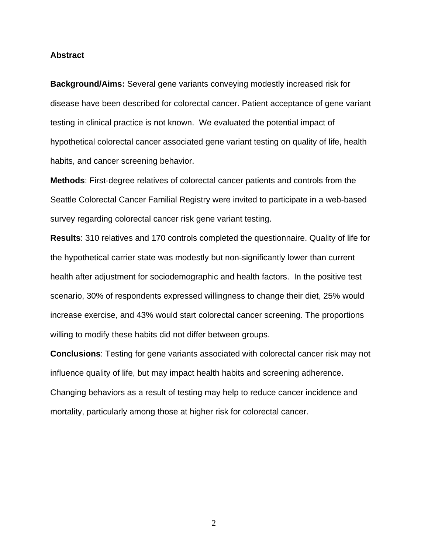#### **Abstract**

**Background/Aims:** Several gene variants conveying modestly increased risk for disease have been described for colorectal cancer. Patient acceptance of gene variant testing in clinical practice is not known. We evaluated the potential impact of hypothetical colorectal cancer associated gene variant testing on quality of life, health habits, and cancer screening behavior.

**Methods**: First-degree relatives of colorectal cancer patients and controls from the Seattle Colorectal Cancer Familial Registry were invited to participate in a web-based survey regarding colorectal cancer risk gene variant testing.

**Results**: 310 relatives and 170 controls completed the questionnaire. Quality of life for the hypothetical carrier state was modestly but non-significantly lower than current health after adjustment for sociodemographic and health factors. In the positive test scenario, 30% of respondents expressed willingness to change their diet, 25% would increase exercise, and 43% would start colorectal cancer screening. The proportions willing to modify these habits did not differ between groups.

**Conclusions**: Testing for gene variants associated with colorectal cancer risk may not influence quality of life, but may impact health habits and screening adherence. Changing behaviors as a result of testing may help to reduce cancer incidence and mortality, particularly among those at higher risk for colorectal cancer.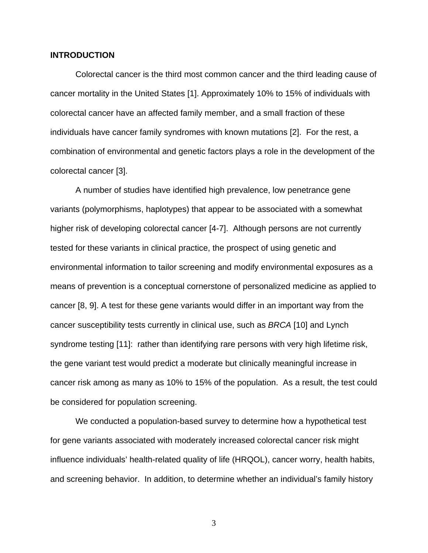# **INTRODUCTION**

Colorectal cancer is the third most common cancer and the third leading cause of cancer mortality in the United States [1]. Approximately 10% to 15% of individuals with colorectal cancer have an affected family member, and a small fraction of these individuals have cancer family syndromes with known mutations [2]. For the rest, a combination of environmental and genetic factors plays a role in the development of the colorectal cancer [3].

A number of studies have identified high prevalence, low penetrance gene variants (polymorphisms, haplotypes) that appear to be associated with a somewhat higher risk of developing colorectal cancer [4-7]. Although persons are not currently tested for these variants in clinical practice, the prospect of using genetic and environmental information to tailor screening and modify environmental exposures as a means of prevention is a conceptual cornerstone of personalized medicine as applied to cancer [8, 9]. A test for these gene variants would differ in an important way from the cancer susceptibility tests currently in clinical use, such as *BRCA* [10] and Lynch syndrome testing [11]: rather than identifying rare persons with very high lifetime risk, the gene variant test would predict a moderate but clinically meaningful increase in cancer risk among as many as 10% to 15% of the population. As a result, the test could be considered for population screening.

We conducted a population-based survey to determine how a hypothetical test for gene variants associated with moderately increased colorectal cancer risk might influence individuals' health-related quality of life (HRQOL), cancer worry, health habits, and screening behavior. In addition, to determine whether an individual's family history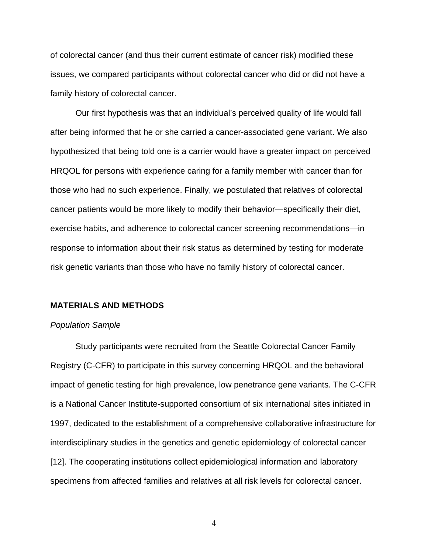of colorectal cancer (and thus their current estimate of cancer risk) modified these issues, we compared participants without colorectal cancer who did or did not have a family history of colorectal cancer.

Our first hypothesis was that an individual's perceived quality of life would fall after being informed that he or she carried a cancer-associated gene variant. We also hypothesized that being told one is a carrier would have a greater impact on perceived HRQOL for persons with experience caring for a family member with cancer than for those who had no such experience. Finally, we postulated that relatives of colorectal cancer patients would be more likely to modify their behavior—specifically their diet, exercise habits, and adherence to colorectal cancer screening recommendations—in response to information about their risk status as determined by testing for moderate risk genetic variants than those who have no family history of colorectal cancer.

#### **MATERIALS AND METHODS**

#### *Population Sample*

Study participants were recruited from the Seattle Colorectal Cancer Family Registry (C-CFR) to participate in this survey concerning HRQOL and the behavioral impact of genetic testing for high prevalence, low penetrance gene variants. The C-CFR is a National Cancer Institute-supported consortium of six international sites initiated in 1997, dedicated to the establishment of a comprehensive collaborative infrastructure for interdisciplinary studies in the genetics and genetic epidemiology of colorectal cancer [12]. The cooperating institutions collect epidemiological information and laboratory specimens from affected families and relatives at all risk levels for colorectal cancer.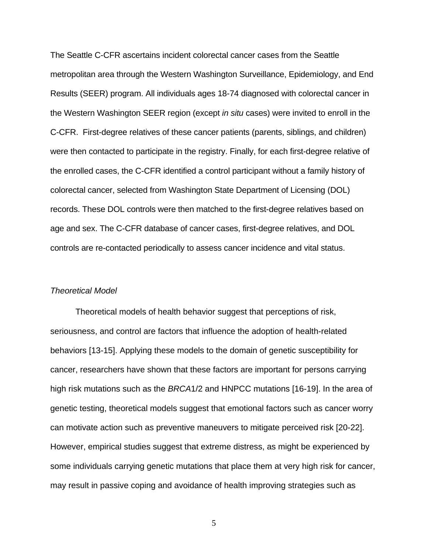The Seattle C-CFR ascertains incident colorectal cancer cases from the Seattle metropolitan area through the Western Washington Surveillance, Epidemiology, and End Results (SEER) program. All individuals ages 18-74 diagnosed with colorectal cancer in the Western Washington SEER region (except *in situ* cases) were invited to enroll in the C-CFR. First-degree relatives of these cancer patients (parents, siblings, and children) were then contacted to participate in the registry. Finally, for each first-degree relative of the enrolled cases, the C-CFR identified a control participant without a family history of colorectal cancer, selected from Washington State Department of Licensing (DOL) records. These DOL controls were then matched to the first-degree relatives based on age and sex. The C-CFR database of cancer cases, first-degree relatives, and DOL controls are re-contacted periodically to assess cancer incidence and vital status.

# *Theoretical Model*

Theoretical models of health behavior suggest that perceptions of risk, seriousness, and control are factors that influence the adoption of health-related behaviors [13-15]. Applying these models to the domain of genetic susceptibility for cancer, researchers have shown that these factors are important for persons carrying high risk mutations such as the *BRCA*1/2 and HNPCC mutations [16-19]. In the area of genetic testing, theoretical models suggest that emotional factors such as cancer worry can motivate action such as preventive maneuvers to mitigate perceived risk [20-22]. However, empirical studies suggest that extreme distress, as might be experienced by some individuals carrying genetic mutations that place them at very high risk for cancer, may result in passive coping and avoidance of health improving strategies such as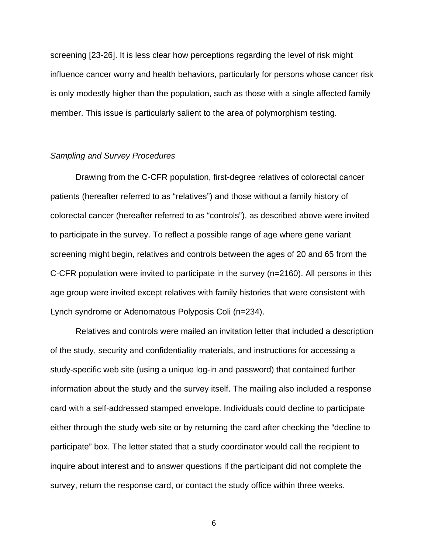screening [23-26]. It is less clear how perceptions regarding the level of risk might influence cancer worry and health behaviors, particularly for persons whose cancer risk is only modestly higher than the population, such as those with a single affected family member. This issue is particularly salient to the area of polymorphism testing.

#### *Sampling and Survey Procedures*

Drawing from the C-CFR population, first-degree relatives of colorectal cancer patients (hereafter referred to as "relatives") and those without a family history of colorectal cancer (hereafter referred to as "controls"), as described above were invited to participate in the survey. To reflect a possible range of age where gene variant screening might begin, relatives and controls between the ages of 20 and 65 from the C-CFR population were invited to participate in the survey (n=2160). All persons in this age group were invited except relatives with family histories that were consistent with Lynch syndrome or Adenomatous Polyposis Coli (n=234).

Relatives and controls were mailed an invitation letter that included a description of the study, security and confidentiality materials, and instructions for accessing a study-specific web site (using a unique log-in and password) that contained further information about the study and the survey itself. The mailing also included a response card with a self-addressed stamped envelope. Individuals could decline to participate either through the study web site or by returning the card after checking the "decline to participate" box. The letter stated that a study coordinator would call the recipient to inquire about interest and to answer questions if the participant did not complete the survey, return the response card, or contact the study office within three weeks.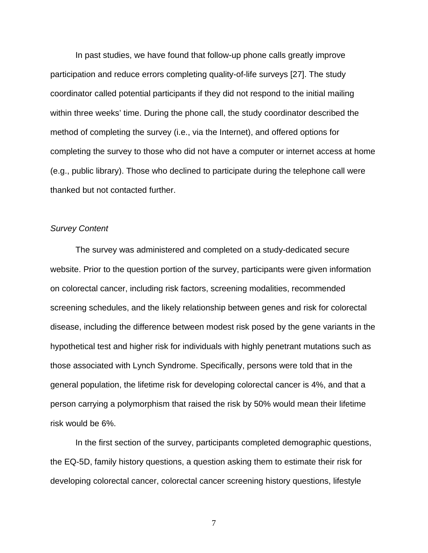In past studies, we have found that follow-up phone calls greatly improve participation and reduce errors completing quality-of-life surveys [27]. The study coordinator called potential participants if they did not respond to the initial mailing within three weeks' time. During the phone call, the study coordinator described the method of completing the survey (i.e., via the Internet), and offered options for completing the survey to those who did not have a computer or internet access at home (e.g., public library). Those who declined to participate during the telephone call were thanked but not contacted further.

# *Survey Content*

The survey was administered and completed on a study-dedicated secure website. Prior to the question portion of the survey, participants were given information on colorectal cancer, including risk factors, screening modalities, recommended screening schedules, and the likely relationship between genes and risk for colorectal disease, including the difference between modest risk posed by the gene variants in the hypothetical test and higher risk for individuals with highly penetrant mutations such as those associated with Lynch Syndrome. Specifically, persons were told that in the general population, the lifetime risk for developing colorectal cancer is 4%, and that a person carrying a polymorphism that raised the risk by 50% would mean their lifetime risk would be 6%.

In the first section of the survey, participants completed demographic questions, the EQ-5D, family history questions, a question asking them to estimate their risk for developing colorectal cancer, colorectal cancer screening history questions, lifestyle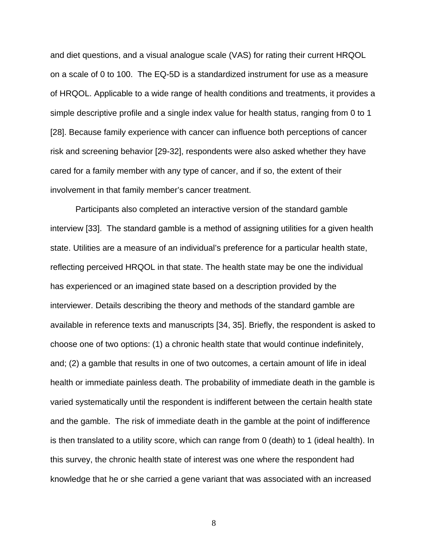and diet questions, and a visual analogue scale (VAS) for rating their current HRQOL on a scale of 0 to 100. The EQ-5D is a standardized instrument for use as a measure of HRQOL. Applicable to a wide range of health conditions and treatments, it provides a simple descriptive profile and a single index value for health status, ranging from 0 to 1 [28]. Because family experience with cancer can influence both perceptions of cancer risk and screening behavior [29-32], respondents were also asked whether they have cared for a family member with any type of cancer, and if so, the extent of their involvement in that family member's cancer treatment.

Participants also completed an interactive version of the standard gamble interview [33]. The standard gamble is a method of assigning utilities for a given health state. Utilities are a measure of an individual's preference for a particular health state, reflecting perceived HRQOL in that state. The health state may be one the individual has experienced or an imagined state based on a description provided by the interviewer. Details describing the theory and methods of the standard gamble are available in reference texts and manuscripts [34, 35]. Briefly, the respondent is asked to choose one of two options: (1) a chronic health state that would continue indefinitely, and; (2) a gamble that results in one of two outcomes, a certain amount of life in ideal health or immediate painless death. The probability of immediate death in the gamble is varied systematically until the respondent is indifferent between the certain health state and the gamble. The risk of immediate death in the gamble at the point of indifference is then translated to a utility score, which can range from 0 (death) to 1 (ideal health). In this survey, the chronic health state of interest was one where the respondent had knowledge that he or she carried a gene variant that was associated with an increased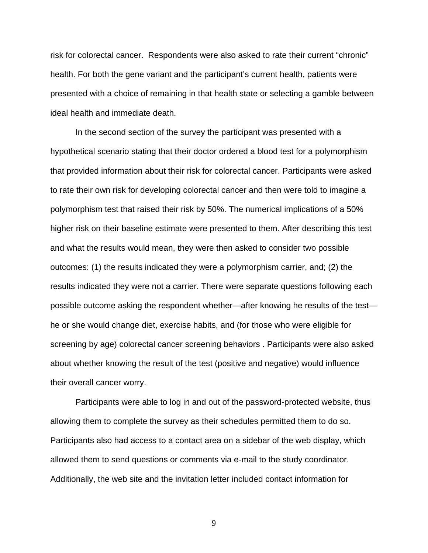risk for colorectal cancer. Respondents were also asked to rate their current "chronic" health. For both the gene variant and the participant's current health, patients were presented with a choice of remaining in that health state or selecting a gamble between ideal health and immediate death.

In the second section of the survey the participant was presented with a hypothetical scenario stating that their doctor ordered a blood test for a polymorphism that provided information about their risk for colorectal cancer. Participants were asked to rate their own risk for developing colorectal cancer and then were told to imagine a polymorphism test that raised their risk by 50%. The numerical implications of a 50% higher risk on their baseline estimate were presented to them. After describing this test and what the results would mean, they were then asked to consider two possible outcomes: (1) the results indicated they were a polymorphism carrier, and; (2) the results indicated they were not a carrier. There were separate questions following each possible outcome asking the respondent whether—after knowing he results of the test he or she would change diet, exercise habits, and (for those who were eligible for screening by age) colorectal cancer screening behaviors . Participants were also asked about whether knowing the result of the test (positive and negative) would influence their overall cancer worry.

Participants were able to log in and out of the password-protected website, thus allowing them to complete the survey as their schedules permitted them to do so. Participants also had access to a contact area on a sidebar of the web display, which allowed them to send questions or comments via e-mail to the study coordinator. Additionally, the web site and the invitation letter included contact information for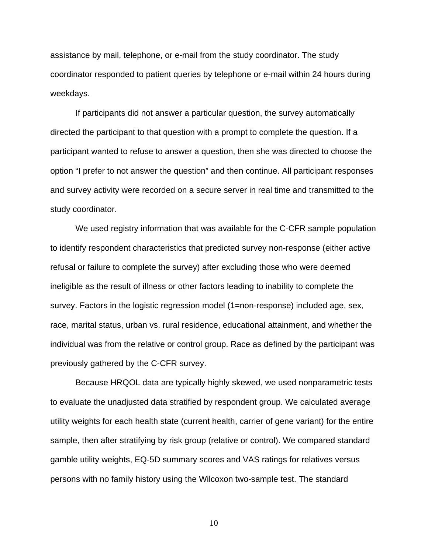assistance by mail, telephone, or e-mail from the study coordinator. The study coordinator responded to patient queries by telephone or e-mail within 24 hours during weekdays.

If participants did not answer a particular question, the survey automatically directed the participant to that question with a prompt to complete the question. If a participant wanted to refuse to answer a question, then she was directed to choose the option "I prefer to not answer the question" and then continue. All participant responses and survey activity were recorded on a secure server in real time and transmitted to the study coordinator.

We used registry information that was available for the C-CFR sample population to identify respondent characteristics that predicted survey non-response (either active refusal or failure to complete the survey) after excluding those who were deemed ineligible as the result of illness or other factors leading to inability to complete the survey. Factors in the logistic regression model (1=non-response) included age, sex, race, marital status, urban vs. rural residence, educational attainment, and whether the individual was from the relative or control group. Race as defined by the participant was previously gathered by the C-CFR survey.

Because HRQOL data are typically highly skewed, we used nonparametric tests to evaluate the unadjusted data stratified by respondent group. We calculated average utility weights for each health state (current health, carrier of gene variant) for the entire sample, then after stratifying by risk group (relative or control). We compared standard gamble utility weights, EQ-5D summary scores and VAS ratings for relatives versus persons with no family history using the Wilcoxon two-sample test. The standard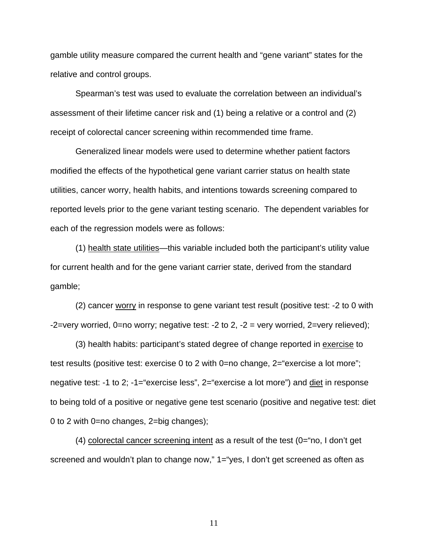gamble utility measure compared the current health and "gene variant" states for the relative and control groups.

Spearman's test was used to evaluate the correlation between an individual's assessment of their lifetime cancer risk and (1) being a relative or a control and (2) receipt of colorectal cancer screening within recommended time frame.

Generalized linear models were used to determine whether patient factors modified the effects of the hypothetical gene variant carrier status on health state utilities, cancer worry, health habits, and intentions towards screening compared to reported levels prior to the gene variant testing scenario. The dependent variables for each of the regression models were as follows:

(1) health state utilities—this variable included both the participant's utility value for current health and for the gene variant carrier state, derived from the standard gamble;

(2) cancer worry in response to gene variant test result (positive test: -2 to 0 with -2=very worried,  $0=$ no worry; negative test: -2 to 2, -2 = very worried,  $2=$ very relieved);

(3) health habits: participant's stated degree of change reported in exercise to test results (positive test: exercise 0 to 2 with 0=no change, 2="exercise a lot more"; negative test: -1 to 2; -1="exercise less", 2="exercise a lot more") and diet in response to being told of a positive or negative gene test scenario (positive and negative test: diet 0 to 2 with 0=no changes, 2=big changes);

(4) colorectal cancer screening intent as a result of the test (0="no, I don't get screened and wouldn't plan to change now," 1="yes, I don't get screened as often as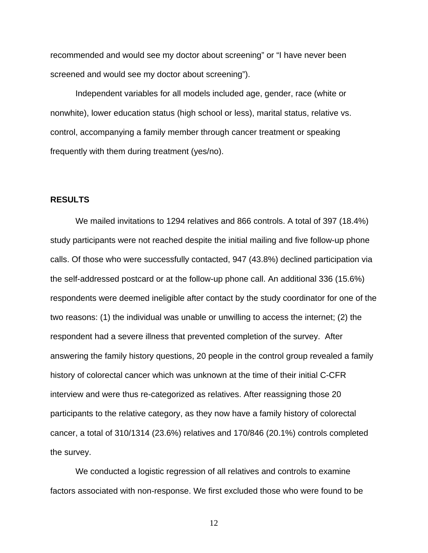recommended and would see my doctor about screening" or "I have never been screened and would see my doctor about screening").

Independent variables for all models included age, gender, race (white or nonwhite), lower education status (high school or less), marital status, relative vs. control, accompanying a family member through cancer treatment or speaking frequently with them during treatment (yes/no).

# **RESULTS**

We mailed invitations to 1294 relatives and 866 controls. A total of 397 (18.4%) study participants were not reached despite the initial mailing and five follow-up phone calls. Of those who were successfully contacted, 947 (43.8%) declined participation via the self-addressed postcard or at the follow-up phone call. An additional 336 (15.6%) respondents were deemed ineligible after contact by the study coordinator for one of the two reasons: (1) the individual was unable or unwilling to access the internet; (2) the respondent had a severe illness that prevented completion of the survey. After answering the family history questions, 20 people in the control group revealed a family history of colorectal cancer which was unknown at the time of their initial C-CFR interview and were thus re-categorized as relatives. After reassigning those 20 participants to the relative category, as they now have a family history of colorectal cancer, a total of 310/1314 (23.6%) relatives and 170/846 (20.1%) controls completed the survey.

We conducted a logistic regression of all relatives and controls to examine factors associated with non-response. We first excluded those who were found to be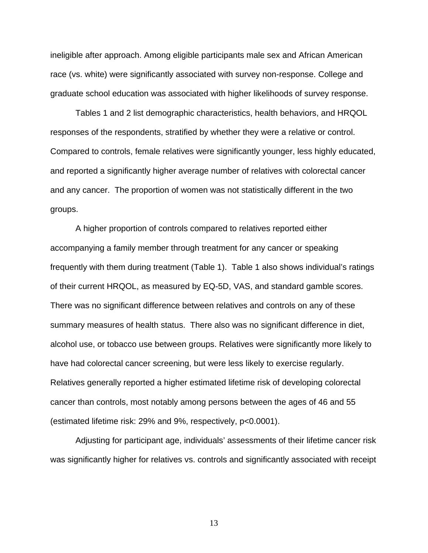ineligible after approach. Among eligible participants male sex and African American race (vs. white) were significantly associated with survey non-response. College and graduate school education was associated with higher likelihoods of survey response.

Tables 1 and 2 list demographic characteristics, health behaviors, and HRQOL responses of the respondents, stratified by whether they were a relative or control. Compared to controls, female relatives were significantly younger, less highly educated, and reported a significantly higher average number of relatives with colorectal cancer and any cancer. The proportion of women was not statistically different in the two groups.

A higher proportion of controls compared to relatives reported either accompanying a family member through treatment for any cancer or speaking frequently with them during treatment (Table 1). Table 1 also shows individual's ratings of their current HRQOL, as measured by EQ-5D, VAS, and standard gamble scores. There was no significant difference between relatives and controls on any of these summary measures of health status. There also was no significant difference in diet, alcohol use, or tobacco use between groups. Relatives were significantly more likely to have had colorectal cancer screening, but were less likely to exercise regularly. Relatives generally reported a higher estimated lifetime risk of developing colorectal cancer than controls, most notably among persons between the ages of 46 and 55 (estimated lifetime risk: 29% and 9%, respectively, p<0.0001).

Adjusting for participant age, individuals' assessments of their lifetime cancer risk was significantly higher for relatives vs. controls and significantly associated with receipt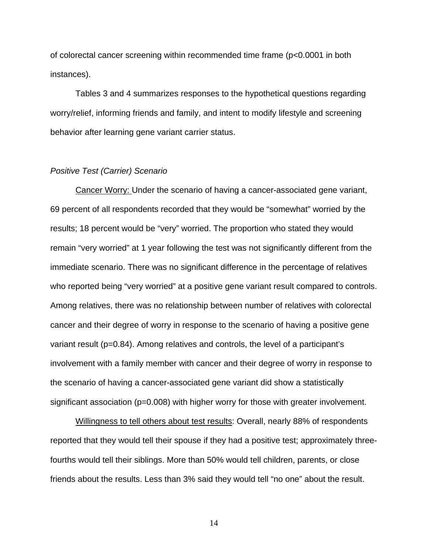of colorectal cancer screening within recommended time frame (p<0.0001 in both instances).

Tables 3 and 4 summarizes responses to the hypothetical questions regarding worry/relief, informing friends and family, and intent to modify lifestyle and screening behavior after learning gene variant carrier status.

# *Positive Test (Carrier) Scenario*

Cancer Worry: Under the scenario of having a cancer-associated gene variant, 69 percent of all respondents recorded that they would be "somewhat" worried by the results; 18 percent would be "very" worried. The proportion who stated they would remain "very worried" at 1 year following the test was not significantly different from the immediate scenario. There was no significant difference in the percentage of relatives who reported being "very worried" at a positive gene variant result compared to controls. Among relatives, there was no relationship between number of relatives with colorectal cancer and their degree of worry in response to the scenario of having a positive gene variant result (p=0.84). Among relatives and controls, the level of a participant's involvement with a family member with cancer and their degree of worry in response to the scenario of having a cancer-associated gene variant did show a statistically significant association (p=0.008) with higher worry for those with greater involvement.

Willingness to tell others about test results: Overall, nearly 88% of respondents reported that they would tell their spouse if they had a positive test; approximately threefourths would tell their siblings. More than 50% would tell children, parents, or close friends about the results. Less than 3% said they would tell "no one" about the result.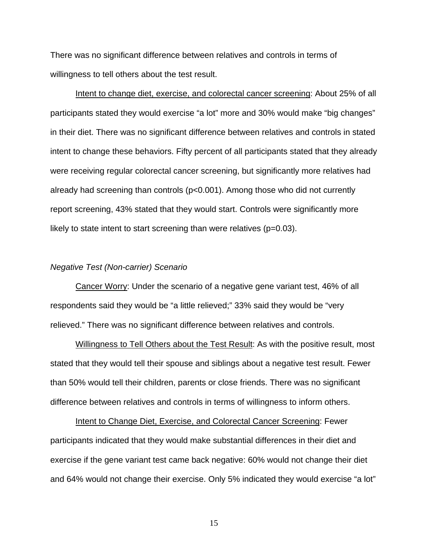There was no significant difference between relatives and controls in terms of willingness to tell others about the test result.

Intent to change diet, exercise, and colorectal cancer screening: About 25% of all participants stated they would exercise "a lot" more and 30% would make "big changes" in their diet. There was no significant difference between relatives and controls in stated intent to change these behaviors. Fifty percent of all participants stated that they already were receiving regular colorectal cancer screening, but significantly more relatives had already had screening than controls (p<0.001). Among those who did not currently report screening, 43% stated that they would start. Controls were significantly more likely to state intent to start screening than were relatives ( $p=0.03$ ).

#### *Negative Test (Non-carrier) Scenario*

Cancer Worry: Under the scenario of a negative gene variant test, 46% of all respondents said they would be "a little relieved;" 33% said they would be "very relieved." There was no significant difference between relatives and controls.

Willingness to Tell Others about the Test Result: As with the positive result, most stated that they would tell their spouse and siblings about a negative test result. Fewer than 50% would tell their children, parents or close friends. There was no significant difference between relatives and controls in terms of willingness to inform others.

Intent to Change Diet, Exercise, and Colorectal Cancer Screening: Fewer participants indicated that they would make substantial differences in their diet and exercise if the gene variant test came back negative: 60% would not change their diet and 64% would not change their exercise. Only 5% indicated they would exercise "a lot"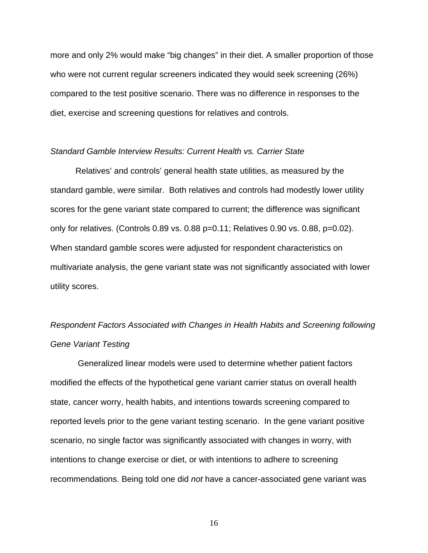more and only 2% would make "big changes" in their diet. A smaller proportion of those who were not current regular screeners indicated they would seek screening (26%) compared to the test positive scenario. There was no difference in responses to the diet, exercise and screening questions for relatives and controls.

### *Standard Gamble Interview Results: Current Health vs. Carrier State*

Relatives' and controls' general health state utilities, as measured by the standard gamble, were similar. Both relatives and controls had modestly lower utility scores for the gene variant state compared to current; the difference was significant only for relatives. (Controls 0.89 vs. 0.88 p=0.11; Relatives 0.90 vs. 0.88, p=0.02). When standard gamble scores were adjusted for respondent characteristics on multivariate analysis, the gene variant state was not significantly associated with lower utility scores.

# *Respondent Factors Associated with Changes in Health Habits and Screening following Gene Variant Testing*

 Generalized linear models were used to determine whether patient factors modified the effects of the hypothetical gene variant carrier status on overall health state, cancer worry, health habits, and intentions towards screening compared to reported levels prior to the gene variant testing scenario. In the gene variant positive scenario, no single factor was significantly associated with changes in worry, with intentions to change exercise or diet, or with intentions to adhere to screening recommendations. Being told one did *not* have a cancer-associated gene variant was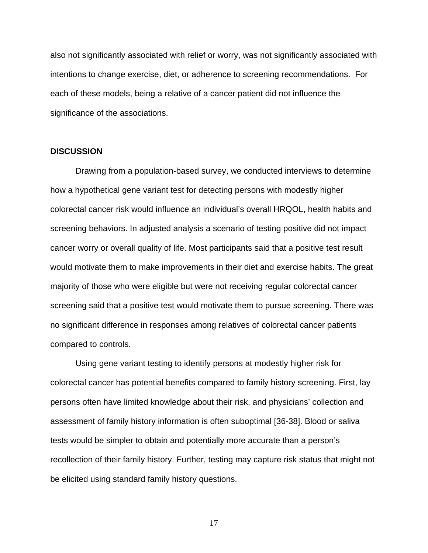also not significantly associated with relief or worry, was not significantly associated with intentions to change exercise, diet, or adherence to screening recommendations. For each of these models, being a relative of a cancer patient did not influence the significance of the associations.

#### **DISCUSSION**

 Drawing from a population-based survey, we conducted interviews to determine how a hypothetical gene variant test for detecting persons with modestly higher colorectal cancer risk would influence an individual's overall HRQOL, health habits and screening behaviors. In adjusted analysis a scenario of testing positive did not impact cancer worry or overall quality of life. Most participants said that a positive test result would motivate them to make improvements in their diet and exercise habits. The great majority of those who were eligible but were not receiving regular colorectal cancer screening said that a positive test would motivate them to pursue screening. There was no significant difference in responses among relatives of colorectal cancer patients compared to controls.

Using gene variant testing to identify persons at modestly higher risk for colorectal cancer has potential benefits compared to family history screening. First, lay persons often have limited knowledge about their risk, and physicians' collection and assessment of family history information is often suboptimal [36-38]. Blood or saliva tests would be simpler to obtain and potentially more accurate than a person's recollection of their family history. Further, testing may capture risk status that might not be elicited using standard family history questions.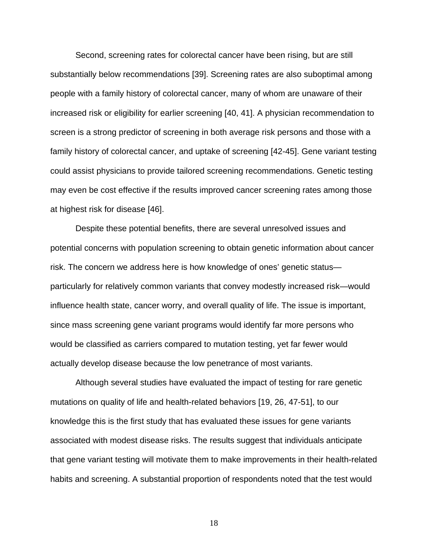Second, screening rates for colorectal cancer have been rising, but are still substantially below recommendations [39]. Screening rates are also suboptimal among people with a family history of colorectal cancer, many of whom are unaware of their increased risk or eligibility for earlier screening [40, 41]. A physician recommendation to screen is a strong predictor of screening in both average risk persons and those with a family history of colorectal cancer, and uptake of screening [42-45]. Gene variant testing could assist physicians to provide tailored screening recommendations. Genetic testing may even be cost effective if the results improved cancer screening rates among those at highest risk for disease [46].

Despite these potential benefits, there are several unresolved issues and potential concerns with population screening to obtain genetic information about cancer risk. The concern we address here is how knowledge of ones' genetic status particularly for relatively common variants that convey modestly increased risk—would influence health state, cancer worry, and overall quality of life. The issue is important, since mass screening gene variant programs would identify far more persons who would be classified as carriers compared to mutation testing, yet far fewer would actually develop disease because the low penetrance of most variants.

Although several studies have evaluated the impact of testing for rare genetic mutations on quality of life and health-related behaviors [19, 26, 47-51], to our knowledge this is the first study that has evaluated these issues for gene variants associated with modest disease risks. The results suggest that individuals anticipate that gene variant testing will motivate them to make improvements in their health-related habits and screening. A substantial proportion of respondents noted that the test would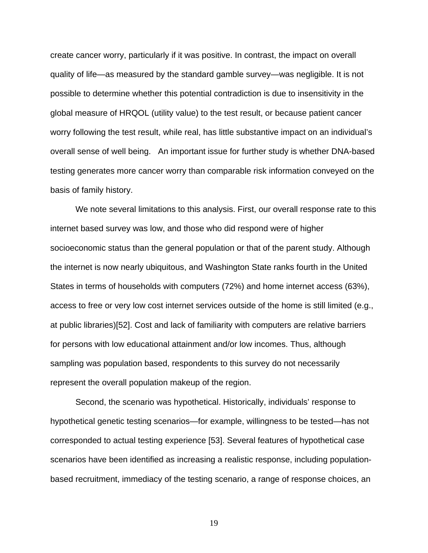create cancer worry, particularly if it was positive. In contrast, the impact on overall quality of life—as measured by the standard gamble survey—was negligible. It is not possible to determine whether this potential contradiction is due to insensitivity in the global measure of HRQOL (utility value) to the test result, or because patient cancer worry following the test result, while real, has little substantive impact on an individual's overall sense of well being. An important issue for further study is whether DNA-based testing generates more cancer worry than comparable risk information conveyed on the basis of family history.

We note several limitations to this analysis. First, our overall response rate to this internet based survey was low, and those who did respond were of higher socioeconomic status than the general population or that of the parent study. Although the internet is now nearly ubiquitous, and Washington State ranks fourth in the United States in terms of households with computers (72%) and home internet access (63%), access to free or very low cost internet services outside of the home is still limited (e.g., at public libraries)[52]. Cost and lack of familiarity with computers are relative barriers for persons with low educational attainment and/or low incomes. Thus, although sampling was population based, respondents to this survey do not necessarily represent the overall population makeup of the region.

Second, the scenario was hypothetical. Historically, individuals' response to hypothetical genetic testing scenarios—for example, willingness to be tested—has not corresponded to actual testing experience [53]. Several features of hypothetical case scenarios have been identified as increasing a realistic response, including populationbased recruitment, immediacy of the testing scenario, a range of response choices, an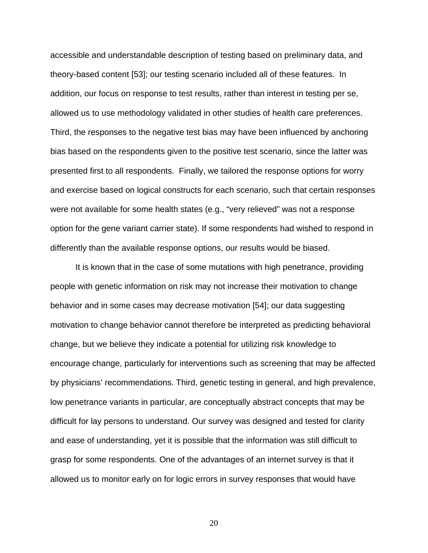accessible and understandable description of testing based on preliminary data, and theory-based content [53]; our testing scenario included all of these features. In addition, our focus on response to test results, rather than interest in testing per se, allowed us to use methodology validated in other studies of health care preferences. Third, the responses to the negative test bias may have been influenced by anchoring bias based on the respondents given to the positive test scenario, since the latter was presented first to all respondents. Finally, we tailored the response options for worry and exercise based on logical constructs for each scenario, such that certain responses were not available for some health states (e.g., "very relieved" was not a response option for the gene variant carrier state). If some respondents had wished to respond in differently than the available response options, our results would be biased.

It is known that in the case of some mutations with high penetrance, providing people with genetic information on risk may not increase their motivation to change behavior and in some cases may decrease motivation [54]; our data suggesting motivation to change behavior cannot therefore be interpreted as predicting behavioral change, but we believe they indicate a potential for utilizing risk knowledge to encourage change, particularly for interventions such as screening that may be affected by physicians' recommendations. Third, genetic testing in general, and high prevalence, low penetrance variants in particular, are conceptually abstract concepts that may be difficult for lay persons to understand. Our survey was designed and tested for clarity and ease of understanding, yet it is possible that the information was still difficult to grasp for some respondents. One of the advantages of an internet survey is that it allowed us to monitor early on for logic errors in survey responses that would have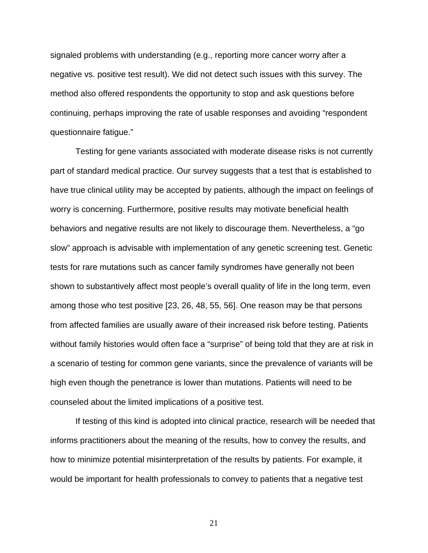signaled problems with understanding (e.g., reporting more cancer worry after a negative vs. positive test result). We did not detect such issues with this survey. The method also offered respondents the opportunity to stop and ask questions before continuing, perhaps improving the rate of usable responses and avoiding "respondent questionnaire fatigue."

Testing for gene variants associated with moderate disease risks is not currently part of standard medical practice. Our survey suggests that a test that is established to have true clinical utility may be accepted by patients, although the impact on feelings of worry is concerning. Furthermore, positive results may motivate beneficial health behaviors and negative results are not likely to discourage them. Nevertheless, a "go slow" approach is advisable with implementation of any genetic screening test. Genetic tests for rare mutations such as cancer family syndromes have generally not been shown to substantively affect most people's overall quality of life in the long term, even among those who test positive [23, 26, 48, 55, 56]. One reason may be that persons from affected families are usually aware of their increased risk before testing. Patients without family histories would often face a "surprise" of being told that they are at risk in a scenario of testing for common gene variants, since the prevalence of variants will be high even though the penetrance is lower than mutations. Patients will need to be counseled about the limited implications of a positive test.

If testing of this kind is adopted into clinical practice, research will be needed that informs practitioners about the meaning of the results, how to convey the results, and how to minimize potential misinterpretation of the results by patients. For example, it would be important for health professionals to convey to patients that a negative test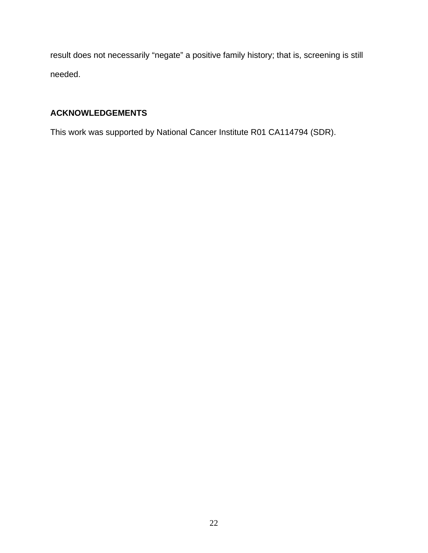result does not necessarily "negate" a positive family history; that is, screening is still needed.

# **ACKNOWLEDGEMENTS**

This work was supported by National Cancer Institute R01 CA114794 (SDR).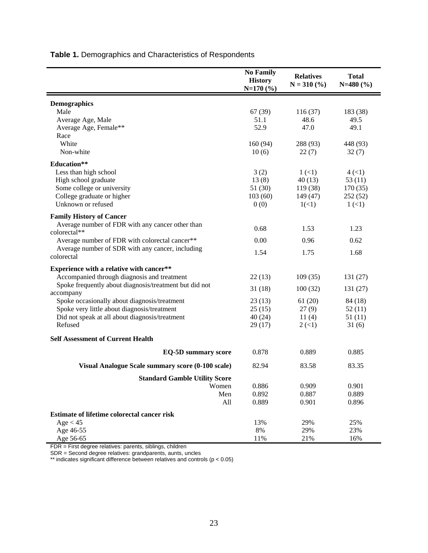|                                                        | <b>No Family</b><br><b>History</b><br>$N=170(%)$ | <b>Relatives</b><br>$N = 310 (%)$ | <b>Total</b><br>$N=480(%)$ |
|--------------------------------------------------------|--------------------------------------------------|-----------------------------------|----------------------------|
| <b>Demographics</b>                                    |                                                  |                                   |                            |
| Male                                                   | 67 (39)                                          | 116(37)                           | 183 (38)                   |
| Average Age, Male                                      | 51.1                                             | 48.6                              | 49.5                       |
| Average Age, Female**                                  | 52.9                                             | 47.0                              | 49.1                       |
| Race                                                   |                                                  |                                   |                            |
| White                                                  | 160(94)                                          | 288 (93)                          | 448 (93)                   |
| Non-white                                              | 10(6)                                            | 22(7)                             | 32(7)                      |
| Education**                                            |                                                  |                                   |                            |
| Less than high school                                  | 3(2)                                             | 1(1)                              | 4(1)                       |
| High school graduate                                   | 13(8)                                            | 40(13)                            | 53(11)                     |
| Some college or university                             | 51 (30)                                          | 119 (38)                          | 170(35)                    |
| College graduate or higher                             | 103(60)                                          | 149 (47)                          | 252 (52)                   |
| Unknown or refused                                     | 0(0)                                             | 1(<1)                             | 1(1)                       |
| <b>Family History of Cancer</b>                        |                                                  |                                   |                            |
| Average number of FDR with any cancer other than       |                                                  |                                   |                            |
| colorectal**                                           | 0.68                                             | 1.53                              | 1.23                       |
| Average number of FDR with colorectal cancer**         | 0.00                                             | 0.96                              | 0.62                       |
| Average number of SDR with any cancer, including       | 1.54                                             | 1.75                              | 1.68                       |
| colorectal                                             |                                                  |                                   |                            |
| Experience with a relative with cancer**               |                                                  |                                   |                            |
| Accompanied through diagnosis and treatment            | 22(13)                                           | 109(35)                           | 131 (27)                   |
| Spoke frequently about diagnosis/treatment but did not | 31(18)                                           | 100(32)                           | 131 (27)                   |
| accompany                                              |                                                  |                                   |                            |
| Spoke occasionally about diagnosis/treatment           | 23(13)                                           | 61(20)                            | 84 (18)                    |
| Spoke very little about diagnosis/treatment            | 25(15)                                           | 27(9)                             | 52(11)                     |
| Did not speak at all about diagnosis/treatment         | 40(24)                                           | 11(4)                             | 51(11)                     |
| Refused                                                | 29(17)                                           | $2 \left( \leq 1 \right)$         | 31(6)                      |
| <b>Self Assessment of Current Health</b>               |                                                  |                                   |                            |
| <b>EQ-5D summary score</b>                             | 0.878                                            | 0.889                             | 0.885                      |
| Visual Analogue Scale summary score (0-100 scale)      | 82.94                                            | 83.58                             | 83.35                      |
| <b>Standard Gamble Utility Score</b>                   |                                                  |                                   |                            |
| Women                                                  | 0.886                                            | 0.909                             | 0.901                      |
| Men                                                    | 0.892                                            | 0.887                             | 0.889                      |
| All                                                    | 0.889                                            | 0.901                             | 0.896                      |
| <b>Estimate of lifetime colorectal cancer risk</b>     |                                                  |                                   |                            |
| Age < 45                                               | 13%                                              | 29%                               | 25%                        |
| Age 46-55                                              | $8\%$                                            | 29%                               | 23%                        |
| Age 56-65                                              | 11%                                              | 21%                               | 16%                        |

**Table 1.** Demographics and Characteristics of Respondents

FDR = First degree relatives: parents, siblings, children

SDR = Second degree relatives: grandparents, aunts, uncles

\*\* indicates significant difference between relatives and controls (p < 0.05)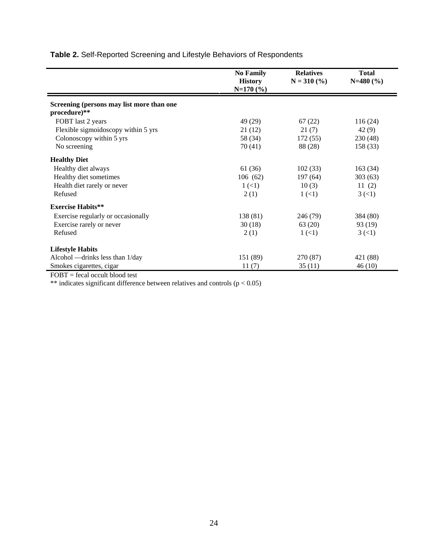|                                                           | <b>No Family</b><br><b>History</b><br>$N=170(%)$ | <b>Relatives</b><br>$N = 310$ (%) | <b>Total</b><br>$N=480(%)$ |
|-----------------------------------------------------------|--------------------------------------------------|-----------------------------------|----------------------------|
| Screening (persons may list more than one<br>procedure)** |                                                  |                                   |                            |
|                                                           |                                                  |                                   |                            |
| FOBT last 2 years                                         | 49 (29)                                          | 67(22)                            | 116(24)                    |
| Flexible sigmoidoscopy within 5 yrs                       | 21(12)                                           | 21(7)                             | 42(9)                      |
| Colonoscopy within 5 yrs                                  | 58 (34)                                          | 172(55)                           | 230 (48)                   |
| No screening                                              | 70(41)                                           | 88 (28)                           | 158 (33)                   |
| <b>Healthy Diet</b>                                       |                                                  |                                   |                            |
| Healthy diet always                                       | 61(36)                                           | 102(33)                           | 163(34)                    |
| Healthy diet sometimes                                    | 106(62)                                          | 197 (64)                          | 303(63)                    |
| Health diet rarely or never                               | 1(1)                                             | 10(3)                             | 11(2)                      |
| Refused                                                   | 2(1)                                             | 1(1)                              | 3(1)                       |
| <b>Exercise Habits**</b>                                  |                                                  |                                   |                            |
| Exercise regularly or occasionally                        | 138 (81)                                         | 246 (79)                          | 384 (80)                   |
| Exercise rarely or never                                  | 30(18)                                           | 63 (20)                           | 93 (19)                    |
| Refused                                                   | 2(1)                                             | $1 \left( 1 \right)$              | 3(1)                       |
| <b>Lifestyle Habits</b>                                   |                                                  |                                   |                            |
| Alcohol — drinks less than 1/day                          | 151 (89)                                         | 270 (87)                          | 421 (88)                   |
| Smokes cigarettes, cigar                                  | 11(7)                                            | 35(11)                            | 46(10)                     |

**Table 2.** Self-Reported Screening and Lifestyle Behaviors of Respondents

FOBT = fecal occult blood test

\*\* indicates significant difference between relatives and controls ( $p < 0.05$ )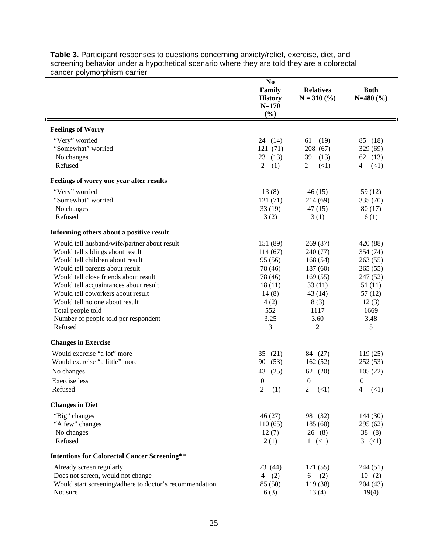|                                                         | N <sub>0</sub><br>Family<br><b>History</b><br>$N = 170$<br>(%) | <b>Relatives</b><br>$N = 310$ (%) | <b>Both</b><br>$N=480(%)$ |
|---------------------------------------------------------|----------------------------------------------------------------|-----------------------------------|---------------------------|
| <b>Feelings of Worry</b>                                |                                                                |                                   |                           |
| "Very" worried                                          | 24(14)                                                         | (19)<br>61                        | 85 (18)                   |
| "Somewhat" worried                                      | 121 (71)                                                       | 208 (67)                          | 329 (69)                  |
| No changes                                              | (13)<br>23                                                     | (13)<br>39                        | 62 (13)                   |
| Refused                                                 | $\overline{2}$<br>(1)                                          | (<1)<br>$\overline{c}$            | (<1)<br>4                 |
| Feelings of worry one year after results                |                                                                |                                   |                           |
| "Very" worried                                          | 13(8)                                                          | 46(15)                            | 59 (12)                   |
| "Somewhat" worried                                      | 121(71)                                                        | 214(69)                           | 335(70)                   |
| No changes                                              | 33(19)                                                         | 47(15)                            | 80(17)                    |
| Refused                                                 | 3(2)                                                           | 3(1)                              | 6(1)                      |
| Informing others about a positive result                |                                                                |                                   |                           |
| Would tell husband/wife/partner about result            | 151 (89)                                                       | 269(87)                           | 420 (88)                  |
| Would tell siblings about result                        | 114(67)                                                        | 240 (77)                          | 354 (74)                  |
| Would tell children about result                        | 95 (56)                                                        | 168(54)                           | 263(55)                   |
| Would tell parents about result                         | 78 (46)                                                        | 187(60)                           | 265(55)                   |
| Would tell close friends about result                   | 78 (46)                                                        | 169(55)                           | 247 (52)                  |
| Would tell acquaintances about result                   | 18(11)                                                         | 33(11)                            | 51(11)                    |
| Would tell coworkers about result                       | 14(8)                                                          | 43(14)                            | 57(12)                    |
| Would tell no one about result                          | 4(2)                                                           | 8(3)                              | 12(3)                     |
| Total people told                                       | 552                                                            | 1117                              | 1669                      |
| Number of people told per respondent<br>Refused         | 3.25<br>3                                                      | 3.60<br>2                         | 3.48<br>5                 |
| <b>Changes in Exercise</b>                              |                                                                |                                   |                           |
| Would exercise "a lot" more                             | 35 $(21)$                                                      | 84 (27)                           | 119(25)                   |
| Would exercise "a little" more                          | (53)<br>90                                                     | 162(52)                           | 252(53)                   |
| No changes                                              | (25)<br>43                                                     | 62 (20)                           | 105(22)                   |
| Exercise less                                           | $\boldsymbol{0}$                                               | $\boldsymbol{0}$                  | $\boldsymbol{0}$          |
| Refused                                                 | 2<br>(1)                                                       | 2 $(\leq 1)$                      | 4 $(\leq 1)$              |
| <b>Changes in Diet</b>                                  |                                                                |                                   |                           |
| "Big" changes                                           | 46(27)                                                         | 98 (32)                           | 144(30)                   |
| "A few" changes                                         | 110(65)                                                        | 185(60)                           | 295(62)                   |
| No changes                                              | 12(7)                                                          | 26(8)                             | 38(8)                     |
| Refused                                                 | 2(1)                                                           | $1 \le (1)$                       | 3 $(\leq 1)$              |
| <b>Intentions for Colorectal Cancer Screening**</b>     |                                                                |                                   |                           |
| Already screen regularly                                | 73 (44)                                                        | 171(55)                           | 244 (51)                  |
| Does not screen, would not change                       | 4(2)                                                           | (2)<br>6                          | 10(2)                     |
| Would start screening/adhere to doctor's recommendation | 85 (50)                                                        | 119 (38)                          | 204(43)                   |
| Not sure                                                | 6(3)                                                           | 13(4)                             | 19(4)                     |

**Table 3.** Participant responses to questions concerning anxiety/relief, exercise, diet, and screening behavior under a hypothetical scenario where they are told they are a colorectal cancer polymorphism carrier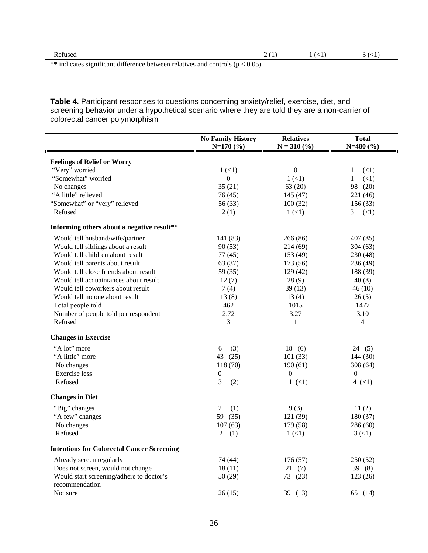| Refused                                                                            |  |  |
|------------------------------------------------------------------------------------|--|--|
| ** indicates significant difference between relatives and controls ( $p < 0.05$ ). |  |  |

**Table 4.** Participant responses to questions concerning anxiety/relief, exercise, diet, and screening behavior under a hypothetical scenario where they are told they are a non-carrier of colorectal cancer polymorphism

|                                                   | <b>No Family History</b><br>$N=170(%)$ | <b>Relatives</b><br>$N = 310$ (%) | <b>Total</b><br>$N=480(%)$ |
|---------------------------------------------------|----------------------------------------|-----------------------------------|----------------------------|
| <b>Feelings of Relief or Worry</b>                |                                        |                                   |                            |
| "Very" worried                                    | 1(1)                                   | $\boldsymbol{0}$                  | (<1)<br>1                  |
| "Somewhat" worried                                | $\theta$                               | 1(1)                              | (<1)<br>1                  |
| No changes                                        | 35(21)                                 | 63 (20)                           | 98 (20)                    |
| "A little" relieved                               | 76 (45)                                | 145(47)                           | 221 (46)                   |
| "Somewhat" or "very" relieved                     | 56 (33)                                | 100(32)                           | 156(33)                    |
| Refused                                           | 2(1)                                   | 1(1)                              | 3 $(<1)$                   |
| Informing others about a negative result**        |                                        |                                   |                            |
| Would tell husband/wife/partner                   | 141 (83)                               | 266 (86)                          | 407(85)                    |
| Would tell siblings about a result                | 90(53)                                 | 214 (69)                          | 304(63)                    |
| Would tell children about result                  | 77(45)                                 | 153 (49)                          | 230 (48)                   |
| Would tell parents about result                   | 63 (37)                                | 173 (56)                          | 236 (49)                   |
| Would tell close friends about result             | 59 (35)                                | 129(42)                           | 188 (39)                   |
| Would tell acquaintances about result             | 12(7)                                  | 28(9)                             | 40(8)                      |
| Would tell coworkers about result                 | 7(4)                                   | 39(13)                            | 46(10)                     |
| Would tell no one about result                    | 13(8)                                  | 13(4)                             | 26(5)                      |
| Total people told                                 | 462                                    | 1015                              | 1477                       |
| Number of people told per respondent              | 2.72                                   | 3.27                              | 3.10                       |
| Refused                                           | 3                                      | 1                                 | 4                          |
| <b>Changes in Exercise</b>                        |                                        |                                   |                            |
| "A lot" more                                      | (3)<br>6                               | 18(6)                             | 24(5)                      |
| "A little" more                                   | 43<br>(25)                             | 101(33)                           | 144(30)                    |
| No changes                                        | 118 (70)                               | 190(61)                           | 308(64)                    |
| <b>Exercise</b> less                              | $\boldsymbol{0}$                       | $\boldsymbol{0}$                  | $\mathbf{0}$               |
| Refused                                           | 3<br>(2)                               | 1(1)                              | 4 $(<1)$                   |
| <b>Changes in Diet</b>                            |                                        |                                   |                            |
| "Big" changes                                     | 2<br>(1)                               | 9(3)                              | 11(2)                      |
| "A few" changes                                   | 59<br>(35)                             | 121 (39)                          | 180(37)                    |
| No changes                                        | 107(63)                                | 179 (58)                          | 286(60)                    |
| Refused                                           | 2<br>(1)                               | 1(1)                              | 3(1)                       |
| <b>Intentions for Colorectal Cancer Screening</b> |                                        |                                   |                            |
| Already screen regularly                          | 74 (44)                                | 176 (57)                          | 250(52)                    |
| Does not screen, would not change                 | 18(11)                                 | 21(7)                             | 39(8)                      |
| Would start screening/adhere to doctor's          | 50(29)                                 | 73 (23)                           | 123(26)                    |
| recommendation                                    |                                        |                                   |                            |
| Not sure                                          | 26(15)                                 | 39 (13)                           | 65 (14)                    |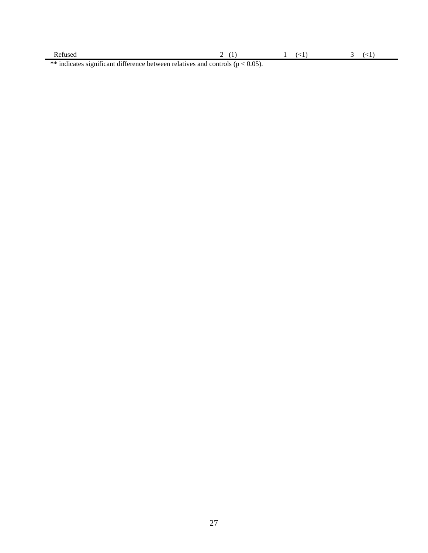| Refused                                                                            |  |  |
|------------------------------------------------------------------------------------|--|--|
| ** indicates significant difference between relatives and controls ( $p < 0.05$ ). |  |  |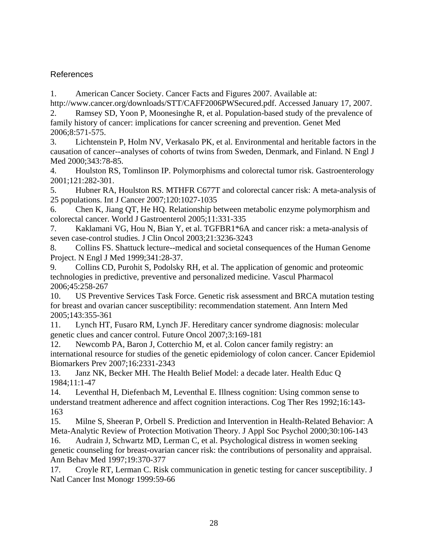# References

1. American Cancer Society. Cancer Facts and Figures 2007. Available at:

http://www.cancer.org/downloads/STT/CAFF2006PWSecured.pdf. Accessed January 17, 2007. 2. Ramsey SD, Yoon P, Moonesinghe R, et al. Population-based study of the prevalence of family history of cancer: implications for cancer screening and prevention. Genet Med 2006;8:571-575.

3. Lichtenstein P, Holm NV, Verkasalo PK, et al. Environmental and heritable factors in the causation of cancer--analyses of cohorts of twins from Sweden, Denmark, and Finland. N Engl J Med 2000;343:78-85.

4. Houlston RS, Tomlinson IP. Polymorphisms and colorectal tumor risk. Gastroenterology 2001;121:282-301.

5. Hubner RA, Houlston RS. MTHFR C677T and colorectal cancer risk: A meta-analysis of 25 populations. Int J Cancer 2007;120:1027-1035

6. Chen K, Jiang QT, He HQ. Relationship between metabolic enzyme polymorphism and colorectal cancer. World J Gastroenterol 2005;11:331-335

7. Kaklamani VG, Hou N, Bian Y, et al. TGFBR1\*6A and cancer risk: a meta-analysis of seven case-control studies. J Clin Oncol 2003;21:3236-3243

8. Collins FS. Shattuck lecture--medical and societal consequences of the Human Genome Project. N Engl J Med 1999;341:28-37.

9. Collins CD, Purohit S, Podolsky RH, et al. The application of genomic and proteomic technologies in predictive, preventive and personalized medicine. Vascul Pharmacol 2006;45:258-267

10. US Preventive Services Task Force. Genetic risk assessment and BRCA mutation testing for breast and ovarian cancer susceptibility: recommendation statement. Ann Intern Med 2005;143:355-361

11. Lynch HT, Fusaro RM, Lynch JF. Hereditary cancer syndrome diagnosis: molecular genetic clues and cancer control. Future Oncol 2007;3:169-181

12. Newcomb PA, Baron J, Cotterchio M, et al. Colon cancer family registry: an international resource for studies of the genetic epidemiology of colon cancer. Cancer Epidemiol Biomarkers Prev 2007;16:2331-2343

13. Janz NK, Becker MH. The Health Belief Model: a decade later. Health Educ Q 1984;11:1-47

14. Leventhal H, Diefenbach M, Leventhal E. Illness cognition: Using common sense to understand treatment adherence and affect cognition interactions. Cog Ther Res 1992;16:143- 163

15. Milne S, Sheeran P, Orbell S. Prediction and Intervention in Health-Related Behavior: A Meta-Analytic Review of Protection Motivation Theory. J Appl Soc Psychol 2000;30:106-143

16. Audrain J, Schwartz MD, Lerman C, et al. Psychological distress in women seeking genetic counseling for breast-ovarian cancer risk: the contributions of personality and appraisal. Ann Behav Med 1997;19:370-377

17. Croyle RT, Lerman C. Risk communication in genetic testing for cancer susceptibility. J Natl Cancer Inst Monogr 1999:59-66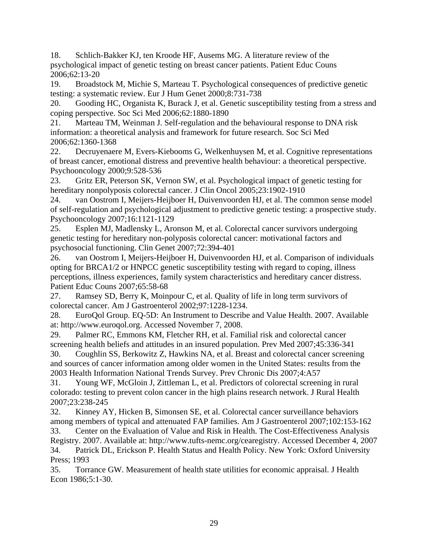18. Schlich-Bakker KJ, ten Kroode HF, Ausems MG. A literature review of the psychological impact of genetic testing on breast cancer patients. Patient Educ Couns 2006;62:13-20

19. Broadstock M, Michie S, Marteau T. Psychological consequences of predictive genetic testing: a systematic review. Eur J Hum Genet 2000;8:731-738

20. Gooding HC, Organista K, Burack J, et al. Genetic susceptibility testing from a stress and coping perspective. Soc Sci Med 2006;62:1880-1890

21. Marteau TM, Weinman J. Self-regulation and the behavioural response to DNA risk information: a theoretical analysis and framework for future research. Soc Sci Med 2006;62:1360-1368

22. Decruyenaere M, Evers-Kiebooms G, Welkenhuysen M, et al. Cognitive representations of breast cancer, emotional distress and preventive health behaviour: a theoretical perspective. Psychooncology 2000;9:528-536

23. Gritz ER, Peterson SK, Vernon SW, et al. Psychological impact of genetic testing for hereditary nonpolyposis colorectal cancer. J Clin Oncol 2005;23:1902-1910

24. van Oostrom I, Meijers-Heijboer H, Duivenvoorden HJ, et al. The common sense model of self-regulation and psychological adjustment to predictive genetic testing: a prospective study. Psychooncology 2007;16:1121-1129

25. Esplen MJ, Madlensky L, Aronson M, et al. Colorectal cancer survivors undergoing genetic testing for hereditary non-polyposis colorectal cancer: motivational factors and psychosocial functioning. Clin Genet 2007;72:394-401

26. van Oostrom I, Meijers-Heijboer H, Duivenvoorden HJ, et al. Comparison of individuals opting for BRCA1/2 or HNPCC genetic susceptibility testing with regard to coping, illness perceptions, illness experiences, family system characteristics and hereditary cancer distress. Patient Educ Couns 2007;65:58-68

27. Ramsey SD, Berry K, Moinpour C, et al. Quality of life in long term survivors of colorectal cancer. Am J Gastroenterol 2002;97:1228-1234.

28. EuroQol Group. EQ-5D: An Instrument to Describe and Value Health. 2007. Available at: http://www.euroqol.org. Accessed November 7, 2008.

29. Palmer RC, Emmons KM, Fletcher RH, et al. Familial risk and colorectal cancer screening health beliefs and attitudes in an insured population. Prev Med 2007;45:336-341

30. Coughlin SS, Berkowitz Z, Hawkins NA, et al. Breast and colorectal cancer screening and sources of cancer information among older women in the United States: results from the 2003 Health Information National Trends Survey. Prev Chronic Dis 2007;4:A57

31. Young WF, McGloin J, Zittleman L, et al. Predictors of colorectal screening in rural colorado: testing to prevent colon cancer in the high plains research network. J Rural Health 2007;23:238-245

32. Kinney AY, Hicken B, Simonsen SE, et al. Colorectal cancer surveillance behaviors among members of typical and attenuated FAP families. Am J Gastroenterol 2007;102:153-162

33. Center on the Evaluation of Value and Risk in Health. The Cost-Effectiveness Analysis Registry. 2007. Available at: http://www.tufts-nemc.org/cearegistry. Accessed December 4, 2007 34. Patrick DL, Erickson P. Health Status and Health Policy. New York: Oxford University Press; 1993

35. Torrance GW. Measurement of health state utilities for economic appraisal. J Health Econ 1986;5:1-30.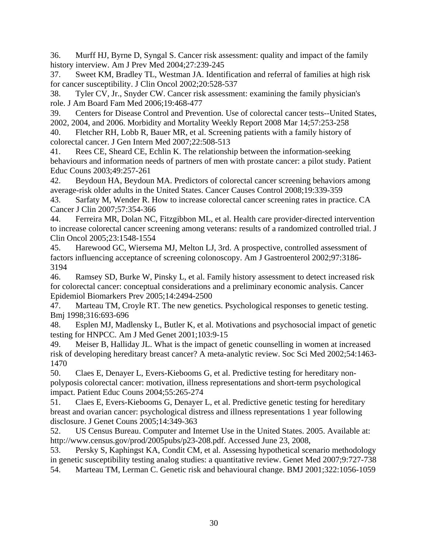36. Murff HJ, Byrne D, Syngal S. Cancer risk assessment: quality and impact of the family history interview. Am J Prev Med 2004;27:239-245

37. Sweet KM, Bradley TL, Westman JA. Identification and referral of families at high risk for cancer susceptibility. J Clin Oncol 2002;20:528-537

38. Tyler CV, Jr., Snyder CW. Cancer risk assessment: examining the family physician's role. J Am Board Fam Med 2006;19:468-477

39. Centers for Disease Control and Prevention. Use of colorectal cancer tests--United States, 2002, 2004, and 2006. Morbidity and Mortality Weekly Report 2008 Mar 14;57:253-258

40. Fletcher RH, Lobb R, Bauer MR, et al. Screening patients with a family history of colorectal cancer. J Gen Intern Med 2007;22:508-513

41. Rees CE, Sheard CE, Echlin K. The relationship between the information-seeking behaviours and information needs of partners of men with prostate cancer: a pilot study. Patient Educ Couns 2003;49:257-261

42. Beydoun HA, Beydoun MA. Predictors of colorectal cancer screening behaviors among average-risk older adults in the United States. Cancer Causes Control 2008;19:339-359

43. Sarfaty M, Wender R. How to increase colorectal cancer screening rates in practice. CA Cancer J Clin 2007;57:354-366

44. Ferreira MR, Dolan NC, Fitzgibbon ML, et al. Health care provider-directed intervention to increase colorectal cancer screening among veterans: results of a randomized controlled trial. J Clin Oncol 2005;23:1548-1554

45. Harewood GC, Wiersema MJ, Melton LJ, 3rd. A prospective, controlled assessment of factors influencing acceptance of screening colonoscopy. Am J Gastroenterol 2002;97:3186- 3194

46. Ramsey SD, Burke W, Pinsky L, et al. Family history assessment to detect increased risk for colorectal cancer: conceptual considerations and a preliminary economic analysis. Cancer Epidemiol Biomarkers Prev 2005;14:2494-2500

47. Marteau TM, Croyle RT. The new genetics. Psychological responses to genetic testing. Bmj 1998;316:693-696

48. Esplen MJ, Madlensky L, Butler K, et al. Motivations and psychosocial impact of genetic testing for HNPCC. Am J Med Genet 2001;103:9-15

49. Meiser B, Halliday JL. What is the impact of genetic counselling in women at increased risk of developing hereditary breast cancer? A meta-analytic review. Soc Sci Med 2002;54:1463- 1470

50. Claes E, Denayer L, Evers-Kiebooms G, et al. Predictive testing for hereditary nonpolyposis colorectal cancer: motivation, illness representations and short-term psychological impact. Patient Educ Couns 2004;55:265-274

51. Claes E, Evers-Kiebooms G, Denayer L, et al. Predictive genetic testing for hereditary breast and ovarian cancer: psychological distress and illness representations 1 year following disclosure. J Genet Couns 2005;14:349-363

52. US Census Bureau. Computer and Internet Use in the United States. 2005. Available at: http://www.census.gov/prod/2005pubs/p23-208.pdf. Accessed June 23, 2008,

53. Persky S, Kaphingst KA, Condit CM, et al. Assessing hypothetical scenario methodology in genetic susceptibility testing analog studies: a quantitative review. Genet Med 2007;9:727-738 54. Marteau TM, Lerman C. Genetic risk and behavioural change. BMJ 2001;322:1056-1059